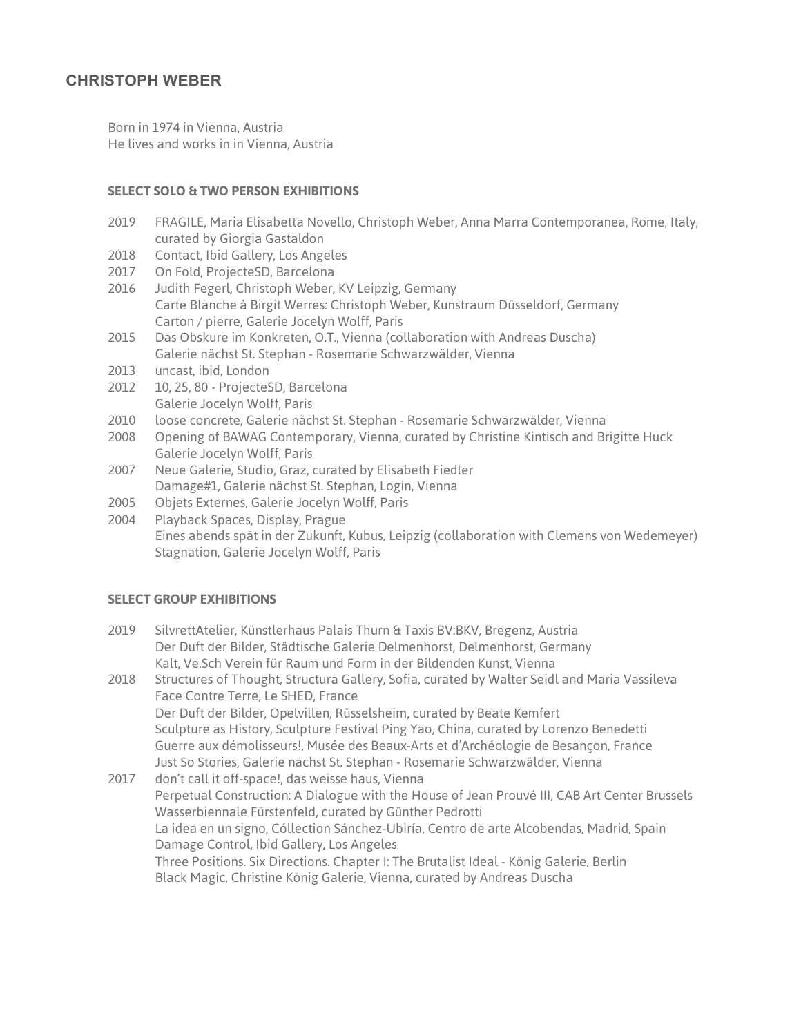## **CHRISTOPH WEBER**

Born in 1974 in Vienna, Austria He lives and works in in Vienna, Austria

### **SELECT SOLO & TWO PERSON EXHIBITIONS**

- 2019 FRAGILE, Maria Elisabetta Novello, Christoph Weber, Anna Marra Contemporanea, Rome, Italy, curated by Giorgia Gastaldon
- 2018 Contact, Ibid Gallery, Los Angeles
- 2017 On Fold, ProjecteSD, Barcelona
- 2016 Judith Fegerl, Christoph Weber, KV Leipzig, Germany Carte Blanche à Birgit Werres: Christoph Weber, Kunstraum Düsseldorf, Germany Carton / pierre, Galerie Jocelyn Wolff, Paris
- 2015 Das Obskure im Konkreten, O.T., Vienna (collaboration with Andreas Duscha) Galerie nächst St. Stephan - Rosemarie Schwarzwälder, Vienna
- 2013 uncast, ibid, London
- 2012 10, 25, 80 ProjecteSD, Barcelona Galerie Jocelyn Wolff, Paris
- 2010 loose concrete, Galerie nächst St. Stephan Rosemarie Schwarzwälder, Vienna
- 2008 Opening of BAWAG Contemporary, Vienna, curated by Christine Kintisch and Brigitte Huck Galerie Jocelyn Wolff, Paris
- 2007 Neue Galerie, Studio, Graz, curated by Elisabeth Fiedler Damage#1, Galerie nächst St. Stephan, Login, Vienna
- 2005 Objets Externes, Galerie Jocelyn Wolff, Paris
- 2004 Playback Spaces, Display, Prague Eines abends spät in der Zukunft, Kubus, Leipzig (collaboration with Clemens von Wedemeyer) Stagnation, Galerie Jocelyn Wolff, Paris

#### **SELECT GROUP EXHIBITIONS**

- 2019 SilvrettAtelier, Künstlerhaus Palais Thurn & Taxis BV:BKV, Bregenz, Austria Der Duft der Bilder, Städtische Galerie Delmenhorst, Delmenhorst, Germany Kalt, Ve.Sch Verein für Raum und Form in der Bildenden Kunst, Vienna
- 2018 Structures of Thought, Structura Gallery, Sofia, curated by Walter Seidl and Maria Vassileva Face Contre Terre, Le SHED, France Der Duft der Bilder, Opelvillen, Rüsselsheim, curated by Beate Kemfert Sculpture as History, Sculpture Festival Ping Yao, China, curated by Lorenzo Benedetti Guerre aux démolisseurs!, Musée des Beaux-Arts et d'Archéologie de Besançon, France Just So Stories, Galerie nächst St. Stephan - Rosemarie Schwarzwälder, Vienna
- 2017 don't call it off-space!, das weisse haus, Vienna Perpetual Construction: A Dialogue with the House of Jean Prouvé III, CAB Art Center Brussels Wasserbiennale Fürstenfeld, curated by Günther Pedrotti La idea en un signo, Cóllection Sánchez-Ubiría, Centro de arte Alcobendas, Madrid, Spain Damage Control, Ibid Gallery, Los Angeles Three Positions. Six Directions. Chapter I: The Brutalist Ideal - König Galerie, Berlin Black Magic, Christine König Galerie, Vienna, curated by Andreas Duscha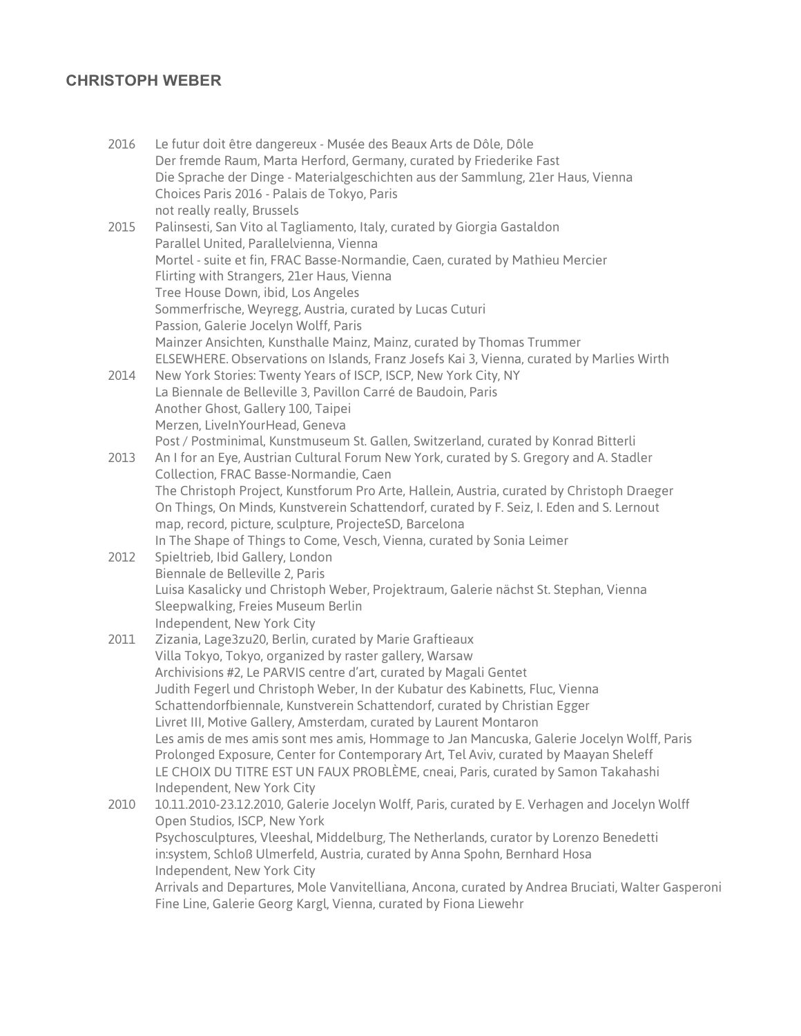# **CHRISTOPH WEBER**

| 2016 | Le futur doit être dangereux - Musée des Beaux Arts de Dôle, Dôle<br>Der fremde Raum, Marta Herford, Germany, curated by Friederike Fast |
|------|------------------------------------------------------------------------------------------------------------------------------------------|
|      | Die Sprache der Dinge - Materialgeschichten aus der Sammlung, 21er Haus, Vienna<br>Choices Paris 2016 - Palais de Tokyo, Paris           |
|      | not really really, Brussels                                                                                                              |
| 2015 | Palinsesti, San Vito al Tagliamento, Italy, curated by Giorgia Gastaldon<br>Parallel United, Parallelvienna, Vienna                      |
|      | Mortel - suite et fin, FRAC Basse-Normandie, Caen, curated by Mathieu Mercier                                                            |
|      | Flirting with Strangers, 21er Haus, Vienna                                                                                               |
|      | Tree House Down, ibid, Los Angeles                                                                                                       |
|      | Sommerfrische, Weyregg, Austria, curated by Lucas Cuturi                                                                                 |
|      | Passion, Galerie Jocelyn Wolff, Paris                                                                                                    |
|      | Mainzer Ansichten, Kunsthalle Mainz, Mainz, curated by Thomas Trummer                                                                    |
|      | ELSEWHERE. Observations on Islands, Franz Josefs Kai 3, Vienna, curated by Marlies Wirth                                                 |
| 2014 | New York Stories: Twenty Years of ISCP, ISCP, New York City, NY                                                                          |
|      | La Biennale de Belleville 3, Pavillon Carré de Baudoin, Paris                                                                            |
|      | Another Ghost, Gallery 100, Taipei                                                                                                       |
|      | Merzen, LiveInYourHead, Geneva                                                                                                           |
|      | Post / Postminimal, Kunstmuseum St. Gallen, Switzerland, curated by Konrad Bitterli                                                      |
| 2013 | An I for an Eye, Austrian Cultural Forum New York, curated by S. Gregory and A. Stadler                                                  |
|      | Collection, FRAC Basse-Normandie, Caen                                                                                                   |
|      | The Christoph Project, Kunstforum Pro Arte, Hallein, Austria, curated by Christoph Draeger                                               |
|      | On Things, On Minds, Kunstverein Schattendorf, curated by F. Seiz, I. Eden and S. Lernout                                                |
|      | map, record, picture, sculpture, ProjecteSD, Barcelona<br>In The Shape of Things to Come, Vesch, Vienna, curated by Sonia Leimer         |
| 2012 | Spieltrieb, Ibid Gallery, London                                                                                                         |
|      | Biennale de Belleville 2, Paris                                                                                                          |
|      | Luisa Kasalicky und Christoph Weber, Projektraum, Galerie nächst St. Stephan, Vienna                                                     |
|      | Sleepwalking, Freies Museum Berlin                                                                                                       |
|      | Independent, New York City                                                                                                               |
| 2011 | Zizania, Lage3zu20, Berlin, curated by Marie Graftieaux                                                                                  |
|      | Villa Tokyo, Tokyo, organized by raster gallery, Warsaw                                                                                  |
|      | Archivisions #2, Le PARVIS centre d'art, curated by Magali Gentet                                                                        |
|      | Judith Fegerl und Christoph Weber, In der Kubatur des Kabinetts, Fluc, Vienna                                                            |
|      | Schattendorfbiennale, Kunstverein Schattendorf, curated by Christian Egger                                                               |
|      | Livret III, Motive Gallery, Amsterdam, curated by Laurent Montaron                                                                       |
|      | Les amis de mes amis sont mes amis, Hommage to Jan Mancuska, Galerie Jocelyn Wolff, Paris                                                |
|      | Prolonged Exposure, Center for Contemporary Art, Tel Aviv, curated by Maayan Sheleff                                                     |
|      | LE CHOIX DU TITRE EST UN FAUX PROBLÈME, cneai, Paris, curated by Samon Takahashi<br>Independent, New York City                           |
| 2010 | 10.11.2010-23.12.2010, Galerie Jocelyn Wolff, Paris, curated by E. Verhagen and Jocelyn Wolff                                            |
|      | Open Studios, ISCP, New York                                                                                                             |
|      | Psychosculptures, Vleeshal, Middelburg, The Netherlands, curator by Lorenzo Benedetti                                                    |
|      | in:system, Schloß Ulmerfeld, Austria, curated by Anna Spohn, Bernhard Hosa                                                               |
|      | Independent, New York City                                                                                                               |
|      | Arrivals and Departures, Mole Vanvitelliana, Ancona, curated by Andrea Bruciati, Walter Gasperoni                                        |
|      | Fine Line, Galerie Georg Kargl, Vienna, curated by Fiona Liewehr                                                                         |